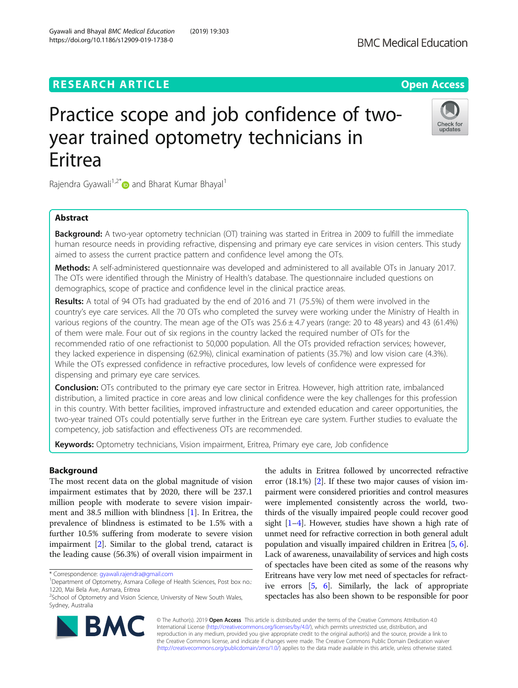## **RESEARCH ARTICLE EXECUTE: Open Access**

# Practice scope and job confidence of twoyear trained optometry technicians in Eritrea

Rajendra Gyawali<sup>1,2\*</sup> and Bharat Kumar Bhayal<sup>1</sup>

## Abstract

Background: A two-year optometry technician (OT) training was started in Eritrea in 2009 to fulfill the immediate human resource needs in providing refractive, dispensing and primary eye care services in vision centers. This study aimed to assess the current practice pattern and confidence level among the OTs.

Methods: A self-administered questionnaire was developed and administered to all available OTs in January 2017. The OTs were identified through the Ministry of Health's database. The questionnaire included questions on demographics, scope of practice and confidence level in the clinical practice areas.

Results: A total of 94 OTs had graduated by the end of 2016 and 71 (75.5%) of them were involved in the country's eye care services. All the 70 OTs who completed the survey were working under the Ministry of Health in various regions of the country. The mean age of the OTs was  $25.6 \pm 4.7$  years (range: 20 to 48 years) and 43 (61.4%) of them were male. Four out of six regions in the country lacked the required number of OTs for the recommended ratio of one refractionist to 50,000 population. All the OTs provided refraction services; however, they lacked experience in dispensing (62.9%), clinical examination of patients (35.7%) and low vision care (4.3%). While the OTs expressed confidence in refractive procedures, low levels of confidence were expressed for dispensing and primary eye care services.

**Conclusion:** OTs contributed to the primary eye care sector in Eritrea. However, high attrition rate, imbalanced distribution, a limited practice in core areas and low clinical confidence were the key challenges for this profession in this country. With better facilities, improved infrastructure and extended education and career opportunities, the two-year trained OTs could potentially serve further in the Eritrean eye care system. Further studies to evaluate the competency, job satisfaction and effectiveness OTs are recommended.

Keywords: Optometry technicians, Vision impairment, Eritrea, Primary eye care, Job confidence

### Background

The most recent data on the global magnitude of vision impairment estimates that by 2020, there will be 237.1 million people with moderate to severe vision impairment and 38.5 million with blindness [[1\]](#page-7-0). In Eritrea, the prevalence of blindness is estimated to be 1.5% with a further 10.5% suffering from moderate to severe vision impairment [\[2](#page-7-0)]. Similar to the global trend, cataract is the leading cause (56.3%) of overall vision impairment in

© The Author(s). 2019 **Open Access** This article is distributed under the terms of the Creative Commons Attribution 4.0 International License [\(http://creativecommons.org/licenses/by/4.0/](http://creativecommons.org/licenses/by/4.0/)), which permits unrestricted use, distribution, and reproduction in any medium, provided you give appropriate credit to the original author(s) and the source, provide a link to the Creative Commons license, and indicate if changes were made. The Creative Commons Public Domain Dedication waiver [\(http://creativecommons.org/publicdomain/zero/1.0/](http://creativecommons.org/publicdomain/zero/1.0/)) applies to the data made available in this article, unless otherwise stated.

the adults in Eritrea followed by uncorrected refractive error (18.1%) [\[2](#page-7-0)]. If these two major causes of vision impairment were considered priorities and control measures were implemented consistently across the world, twothirds of the visually impaired people could recover good sight  $[1-4]$  $[1-4]$  $[1-4]$  $[1-4]$ . However, studies have shown a high rate of unmet need for refractive correction in both general adult population and visually impaired children in Eritrea [[5,](#page-7-0) [6](#page-7-0)]. Lack of awareness, unavailability of services and high costs of spectacles have been cited as some of the reasons why Eritreans have very low met need of spectacles for refractive errors [[5](#page-7-0), [6\]](#page-7-0). Similarly, the lack of appropriate spectacles has also been shown to be responsible for poor





<sup>\*</sup> Correspondence: [gyawali.rajendra@gmail.com](mailto:gyawali.rajendra@gmail.com) <sup>1</sup>

<sup>&</sup>lt;sup>1</sup>Department of Optometry, Asmara College of Health Sciences, Post box no.:

Sydney, Australia

<sup>1220,</sup> Mai Bela Ave, Asmara, Eritrea <sup>2</sup>School of Optometry and Vision Science, University of New South Wales,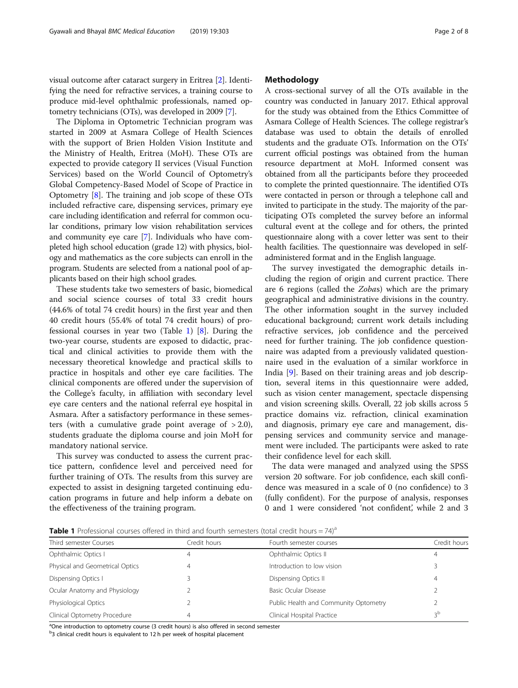visual outcome after cataract surgery in Eritrea [[2\]](#page-7-0). Identifying the need for refractive services, a training course to produce mid-level ophthalmic professionals, named optometry technicians (OTs), was developed in 2009 [\[7\]](#page-7-0).

The Diploma in Optometric Technician program was started in 2009 at Asmara College of Health Sciences with the support of Brien Holden Vision Institute and the Ministry of Health, Eritrea (MoH). These OTs are expected to provide category II services (Visual Function Services) based on the World Council of Optometry's Global Competency-Based Model of Scope of Practice in Optometry [\[8](#page-7-0)]. The training and job scope of these OTs included refractive care, dispensing services, primary eye care including identification and referral for common ocular conditions, primary low vision rehabilitation services and community eye care [\[7](#page-7-0)]. Individuals who have completed high school education (grade 12) with physics, biology and mathematics as the core subjects can enroll in the program. Students are selected from a national pool of applicants based on their high school grades.

These students take two semesters of basic, biomedical and social science courses of total 33 credit hours (44.6% of total 74 credit hours) in the first year and then 40 credit hours (55.4% of total 74 credit hours) of professional courses in year two (Table 1) [[8\]](#page-7-0). During the two-year course, students are exposed to didactic, practical and clinical activities to provide them with the necessary theoretical knowledge and practical skills to practice in hospitals and other eye care facilities. The clinical components are offered under the supervision of the College's faculty, in affiliation with secondary level eye care centers and the national referral eye hospital in Asmara. After a satisfactory performance in these semesters (with a cumulative grade point average of  $> 2.0$ ), students graduate the diploma course and join MoH for mandatory national service.

This survey was conducted to assess the current practice pattern, confidence level and perceived need for further training of OTs. The results from this survey are expected to assist in designing targeted continuing education programs in future and help inform a debate on the effectiveness of the training program.

#### Methodology

A cross-sectional survey of all the OTs available in the country was conducted in January 2017. Ethical approval for the study was obtained from the Ethics Committee of Asmara College of Health Sciences. The college registrar's database was used to obtain the details of enrolled students and the graduate OTs. Information on the OTs' current official postings was obtained from the human resource department at MoH. Informed consent was obtained from all the participants before they proceeded to complete the printed questionnaire. The identified OTs were contacted in person or through a telephone call and invited to participate in the study. The majority of the participating OTs completed the survey before an informal cultural event at the college and for others, the printed questionnaire along with a cover letter was sent to their health facilities. The questionnaire was developed in selfadministered format and in the English language.

The survey investigated the demographic details including the region of origin and current practice. There are 6 regions (called the Zobas) which are the primary geographical and administrative divisions in the country. The other information sought in the survey included educational background; current work details including refractive services, job confidence and the perceived need for further training. The job confidence questionnaire was adapted from a previously validated questionnaire used in the evaluation of a similar workforce in India [\[9](#page-7-0)]. Based on their training areas and job description, several items in this questionnaire were added, such as vision center management, spectacle dispensing and vision screening skills. Overall, 22 job skills across 5 practice domains viz. refraction, clinical examination and diagnosis, primary eye care and management, dispensing services and community service and management were included. The participants were asked to rate their confidence level for each skill.

The data were managed and analyzed using the SPSS version 20 software. For job confidence, each skill confidence was measured in a scale of 0 (no confidence) to 3 (fully confident). For the purpose of analysis, responses 0 and 1 were considered 'not confident', while 2 and 3

**Table 1** Professional courses offered in third and fourth semesters (total credit hours =  $74$ )<sup>a</sup>

| Third semester Courses          | Credit hours | Fourth semester courses               | Credit hours |
|---------------------------------|--------------|---------------------------------------|--------------|
| Ophthalmic Optics I             | 4            | Ophthalmic Optics II                  |              |
| Physical and Geometrical Optics | 4            | Introduction to low vision            |              |
| Dispensing Optics I             |              | Dispensing Optics II                  | 4            |
| Ocular Anatomy and Physiology   |              | Basic Ocular Disease                  |              |
| Physiological Optics            |              | Public Health and Community Optometry |              |
| Clinical Optometry Procedure    | 4            | Clinical Hospital Practice            | эp           |
|                                 |              |                                       |              |

<sup>a</sup>One introduction to optometry course (3 credit hours) is also offered in second semester

<sup>b</sup>3 clinical credit hours is equivalent to 12 h per week of hospital placement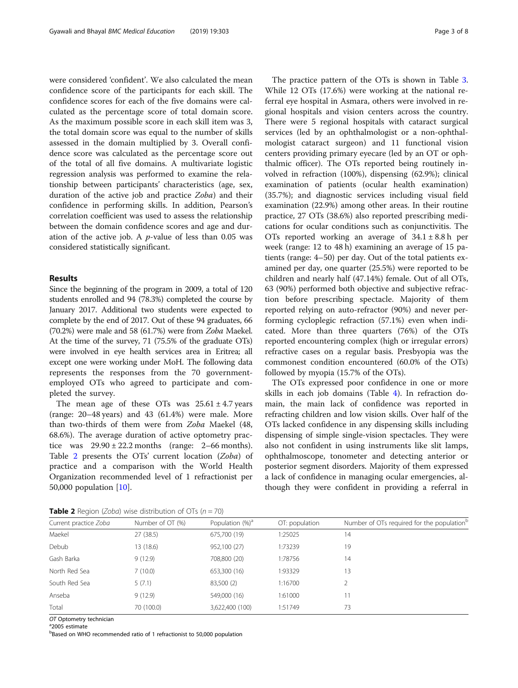were considered 'confident'. We also calculated the mean confidence score of the participants for each skill. The confidence scores for each of the five domains were calculated as the percentage score of total domain score. As the maximum possible score in each skill item was 3, the total domain score was equal to the number of skills assessed in the domain multiplied by 3. Overall confidence score was calculated as the percentage score out of the total of all five domains. A multivariate logistic regression analysis was performed to examine the relationship between participants' characteristics (age, sex, duration of the active job and practice Zoba) and their confidence in performing skills. In addition, Pearson's correlation coefficient was used to assess the relationship between the domain confidence scores and age and duration of the active job. A  $p$ -value of less than 0.05 was considered statistically significant.

#### Results

Since the beginning of the program in 2009, a total of 120 students enrolled and 94 (78.3%) completed the course by January 2017. Additional two students were expected to complete by the end of 2017. Out of these 94 graduates, 66 (70.2%) were male and 58 (61.7%) were from Zoba Maekel. At the time of the survey, 71 (75.5% of the graduate OTs) were involved in eye health services area in Eritrea; all except one were working under MoH. The following data represents the responses from the 70 governmentemployed OTs who agreed to participate and completed the survey.

The mean age of these OTs was  $25.61 \pm 4.7$  years (range: 20–48 years) and 43 (61.4%) were male. More than two-thirds of them were from Zoba Maekel (48, 68.6%). The average duration of active optometry practice was  $29.90 \pm 22.2$  months (range: 2–66 months). Table 2 presents the OTs' current location (Zoba) of practice and a comparison with the World Health Organization recommended level of 1 refractionist per 50,000 population [[10](#page-7-0)].

The practice pattern of the OTs is shown in Table [3](#page-3-0). While 12 OTs (17.6%) were working at the national referral eye hospital in Asmara, others were involved in regional hospitals and vision centers across the country. There were 5 regional hospitals with cataract surgical services (led by an ophthalmologist or a non-ophthalmologist cataract surgeon) and 11 functional vision centers providing primary eyecare (led by an OT or ophthalmic officer). The OTs reported being routinely involved in refraction (100%), dispensing (62.9%); clinical examination of patients (ocular health examination) (35.7%); and diagnostic services including visual field examination (22.9%) among other areas. In their routine practice, 27 OTs (38.6%) also reported prescribing medications for ocular conditions such as conjunctivitis. The OTs reported working an average of  $34.1 \pm 8.8$  h per week (range: 12 to 48 h) examining an average of 15 patients (range: 4–50) per day. Out of the total patients examined per day, one quarter (25.5%) were reported to be children and nearly half (47.14%) female. Out of all OTs, 63 (90%) performed both objective and subjective refraction before prescribing spectacle. Majority of them reported relying on auto-refractor (90%) and never performing cycloplegic refraction (57.1%) even when indicated. More than three quarters (76%) of the OTs reported encountering complex (high or irregular errors) refractive cases on a regular basis. Presbyopia was the commonest condition encountered (60.0% of the OTs) followed by myopia (15.7% of the OTs).

The OTs expressed poor confidence in one or more skills in each job domains (Table [4](#page-3-0)). In refraction domain, the main lack of confidence was reported in refracting children and low vision skills. Over half of the OTs lacked confidence in any dispensing skills including dispensing of simple single-vision spectacles. They were also not confident in using instruments like slit lamps, ophthalmoscope, tonometer and detecting anterior or posterior segment disorders. Majority of them expressed a lack of confidence in managing ocular emergencies, although they were confident in providing a referral in

**Table 2** Region (Zoba) wise distribution of  $OT_c$  (n  $= 70$ )

| <b>Rable 2</b> Region (2000) West distribution of O is $(n - 70)$ |                  |                             |                |                                                        |  |  |  |
|-------------------------------------------------------------------|------------------|-----------------------------|----------------|--------------------------------------------------------|--|--|--|
| Current practice Zoba                                             | Number of OT (%) | Population (%) <sup>a</sup> | OT: population | Number of OTs required for the population <sup>c</sup> |  |  |  |
| Maekel                                                            | 27(38.5)         | 675,700 (19)                | 1:25025        | 14                                                     |  |  |  |
| Debub                                                             | 13 (18.6)        | 952,100 (27)                | 1:73239        | 19                                                     |  |  |  |
| Gash Barka                                                        | 9(12.9)          | 708,800 (20)                | 1:78756        | 14                                                     |  |  |  |
| North Red Sea                                                     | 7(10.0)          | 653,300 (16)                | 1:93329        | 13                                                     |  |  |  |
| South Red Sea                                                     | 5(7.1)           | 83,500 (2)                  | 1:16700        |                                                        |  |  |  |
| Anseba                                                            | 9(12.9)          | 549,000 (16)                | 1:61000        | 11                                                     |  |  |  |
| Total                                                             | 70 (100.0)       | 3,622,400 (100)             | 1:51749        | 73                                                     |  |  |  |

OT Optometry technician

<sup>a</sup>2005 estimate

**bBased on WHO recommended ratio of 1 refractionist to 50,000 population**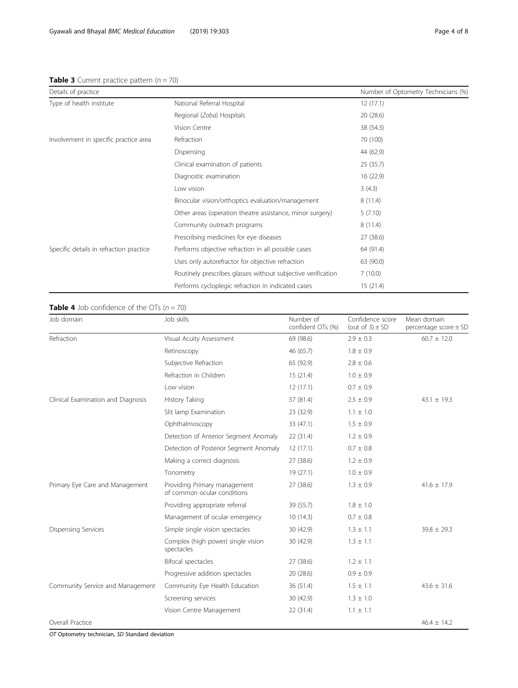## <span id="page-3-0"></span>**Table 3** Current practice pattern  $(n = 70)$

| Details of practice                     |                                                           | Number of Optometry Technicians (%) |
|-----------------------------------------|-----------------------------------------------------------|-------------------------------------|
| Type of health institute                | National Referral Hospital                                | 12(17.1)                            |
|                                         | Regional (Zoba) Hospitals                                 | 20(28.6)                            |
|                                         | Vision Centre                                             | 38 (54.3)                           |
| Involvement in specific practice area   | Refraction                                                | 70 (100)                            |
|                                         | Dispensing                                                | 44 (62.9)                           |
|                                         | Clinical examination of patients                          | 25(35.7)                            |
|                                         | Diagnostic examination                                    | 16 (22.9)                           |
|                                         | Low vision                                                | 3(4.3)                              |
|                                         | Binocular vision/orthoptics evaluation/management         | 8(11.4)                             |
|                                         | Other areas (operation theatre assistance, minor surgery) | 5(7.10)                             |
|                                         | Community outreach programs                               | 8(11.4)                             |
|                                         | Prescribing medicines for eye diseases                    | 27 (38.6)                           |
| Specific details in refraction practice | Performs objective refraction in all possible cases       | 64 (91.4)                           |
|                                         | Uses only autorefractor for objective refraction          | 63 (90.0)                           |
|                                         |                                                           |                                     |

Routinely prescribes glasses without subjective verification 7 (10.0) Performs cycloplegic refraction in indicated cases 15 (21.4)

## **Table 4** Job confidence of the OTs  $(n = 70)$

| Job domain                         | Job skills                                                  | Number of<br>confident OTs (%) | Confidence score<br>(out of $3) \pm SD$ | Mean domain<br>percentage score $\pm$ SD |
|------------------------------------|-------------------------------------------------------------|--------------------------------|-----------------------------------------|------------------------------------------|
| Refraction                         | Visual Acuity Assessment                                    | 69 (98.6)                      | $2.9 \pm 0.3$                           | $60.7 \pm 12.0$                          |
|                                    | Retinoscopy                                                 | 46 (65.7)                      | $1.8 \pm 0.9$                           |                                          |
|                                    | Subjective Refraction                                       | 65 (92.9)                      | $2.8 \pm 0.6$                           |                                          |
|                                    | Refraction in Children                                      | 15(21.4)                       | $1.0 \pm 0.9$                           |                                          |
|                                    | Low vision                                                  | 12(17.1)                       | $0.7 \pm 0.9$                           |                                          |
| Clinical Examination and Diagnosis | <b>History Taking</b>                                       | 57 (81.4)                      | $2.5 \pm 0.9$                           | $43.1 \pm 19.3$                          |
|                                    | Slit lamp Examination                                       | 23 (32.9)                      | $1.1 \pm 1.0$                           |                                          |
|                                    | Ophthalmoscopy                                              | 33 (47.1)                      | $1.5 \pm 0.9$                           |                                          |
|                                    | Detection of Anterior Segment Anomaly                       | 22(31.4)                       | $1.2 \pm 0.9$                           |                                          |
|                                    | Detection of Posterior Segment Anomaly                      | 12(17.1)                       | $0.7 \pm 0.8$                           |                                          |
|                                    | Making a correct diagnosis                                  | 27(38.6)                       | $1.2 \pm 0.9$                           |                                          |
|                                    | Tonometry                                                   | 19(27.1)                       | $1.0 \pm 0.9$                           |                                          |
| Primary Eye Care and Management    | Providing Primary management<br>of common ocular conditions | 27(38.6)                       | $1.3 \pm 0.9$                           | $41.6 \pm 17.9$                          |
|                                    | Providing appropriate referral                              | 39 (55.7)                      | $1.8 \pm 1.0$                           |                                          |
|                                    | Management of ocular emergency                              | 10(14.3)                       | $0.7 \pm 0.8$                           |                                          |
| <b>Dispensing Services</b>         | Simple single vision spectacles                             | 30 (42.9)                      | $1.3 \pm 1.1$                           | $39.8 \pm 29.3$                          |
|                                    | Complex (high power) single vision<br>spectacles            | 30 (42.9)                      | $1.3 \pm 1.1$                           |                                          |
|                                    | Bifocal spectacles                                          | 27(38.6)                       | $1.2 \pm 1.1$                           |                                          |
|                                    | Progressive addition spectacles                             | 20 (28.6)                      | $0.9 \pm 0.9$                           |                                          |
| Community Service and Management   | Community Eye Health Education                              | 36(51.4)                       | $1.5 \pm 1.1$                           | $43.6 \pm 31.6$                          |
|                                    | Screening services                                          | 30 (42.9)                      | $1.3 \pm 1.0$                           |                                          |
|                                    | Vision Centre Management                                    | 22 (31.4)                      | $1.1 \pm 1.1$                           |                                          |
| Overall Practice                   |                                                             |                                |                                         | $46.4 \pm 14.2$                          |

OT Optometry technician, SD Standard deviation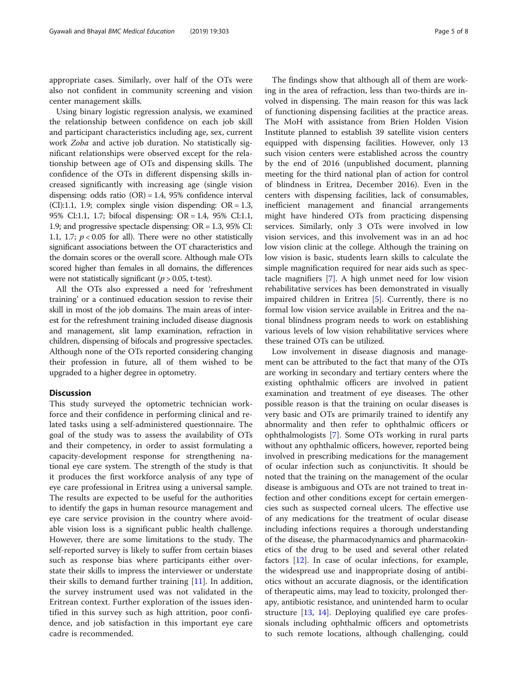appropriate cases. Similarly, over half of the OTs were also not confident in community screening and vision center management skills.

Using binary logistic regression analysis, we examined the relationship between confidence on each job skill and participant characteristics including age, sex, current work Zoba and active job duration. No statistically significant relationships were observed except for the relationship between age of OTs and dispensing skills. The confidence of the OTs in different dispensing skills increased significantly with increasing age (single vision dispensing: odds ratio  $(OR) = 1.4$ , 95% confidence interval  $(CI):1.1$ , 1.9; complex single vision dispending:  $OR = 1.3$ , 95% CI:1.1, 1.7; bifocal dispensing: OR = 1.4, 95% CI:1.1, 1.9; and progressive spectacle dispensing: OR = 1.3, 95% CI: 1.1, 1.7;  $p < 0.05$  for all). There were no other statistically significant associations between the OT characteristics and the domain scores or the overall score. Although male OTs scored higher than females in all domains, the differences were not statistically significant ( $p > 0.05$ , t-test).

All the OTs also expressed a need for 'refreshment training' or a continued education session to revise their skill in most of the job domains. The main areas of interest for the refreshment training included disease diagnosis and management, slit lamp examination, refraction in children, dispensing of bifocals and progressive spectacles. Although none of the OTs reported considering changing their profession in future, all of them wished to be upgraded to a higher degree in optometry.

#### **Discussion**

This study surveyed the optometric technician workforce and their confidence in performing clinical and related tasks using a self-administered questionnaire. The goal of the study was to assess the availability of OTs and their competency, in order to assist formulating a capacity-development response for strengthening national eye care system. The strength of the study is that it produces the first workforce analysis of any type of eye care professional in Eritrea using a universal sample. The results are expected to be useful for the authorities to identify the gaps in human resource management and eye care service provision in the country where avoidable vision loss is a significant public health challenge. However, there are some limitations to the study. The self-reported survey is likely to suffer from certain biases such as response bias where participants either overstate their skills to impress the interviewer or understate their skills to demand further training [\[11](#page-7-0)]. In addition, the survey instrument used was not validated in the Eritrean context. Further exploration of the issues identified in this survey such as high attrition, poor confidence, and job satisfaction in this important eye care cadre is recommended.

The findings show that although all of them are working in the area of refraction, less than two-thirds are involved in dispensing. The main reason for this was lack of functioning dispensing facilities at the practice areas. The MoH with assistance from Brien Holden Vision Institute planned to establish 39 satellite vision centers equipped with dispensing facilities. However, only 13 such vision centers were established across the country by the end of 2016 (unpublished document, planning meeting for the third national plan of action for control of blindness in Eritrea, December 2016). Even in the centers with dispensing facilities, lack of consumables, inefficient management and financial arrangements might have hindered OTs from practicing dispensing services. Similarly, only 3 OTs were involved in low vision services, and this involvement was in an ad hoc low vision clinic at the college. Although the training on low vision is basic, students learn skills to calculate the simple magnification required for near aids such as spectacle magnifiers [[7\]](#page-7-0). A high unmet need for low vision rehabilitative services has been demonstrated in visually impaired children in Eritrea [\[5\]](#page-7-0). Currently, there is no formal low vision service available in Eritrea and the national blindness program needs to work on establishing various levels of low vision rehabilitative services where these trained OTs can be utilized.

Low involvement in disease diagnosis and management can be attributed to the fact that many of the OTs are working in secondary and tertiary centers where the existing ophthalmic officers are involved in patient examination and treatment of eye diseases. The other possible reason is that the training on ocular diseases is very basic and OTs are primarily trained to identify any abnormality and then refer to ophthalmic officers or ophthalmologists [\[7](#page-7-0)]. Some OTs working in rural parts without any ophthalmic officers, however, reported being involved in prescribing medications for the management of ocular infection such as conjunctivitis. It should be noted that the training on the management of the ocular disease is ambiguous and OTs are not trained to treat infection and other conditions except for certain emergencies such as suspected corneal ulcers. The effective use of any medications for the treatment of ocular disease including infections requires a thorough understanding of the disease, the pharmacodynamics and pharmacokinetics of the drug to be used and several other related factors [\[12](#page-7-0)]. In case of ocular infections, for example, the widespread use and inappropriate dosing of antibiotics without an accurate diagnosis, or the identification of therapeutic aims, may lead to toxicity, prolonged therapy, antibiotic resistance, and unintended harm to ocular structure [\[13](#page-7-0), [14](#page-7-0)]. Deploying qualified eye care professionals including ophthalmic officers and optometrists to such remote locations, although challenging, could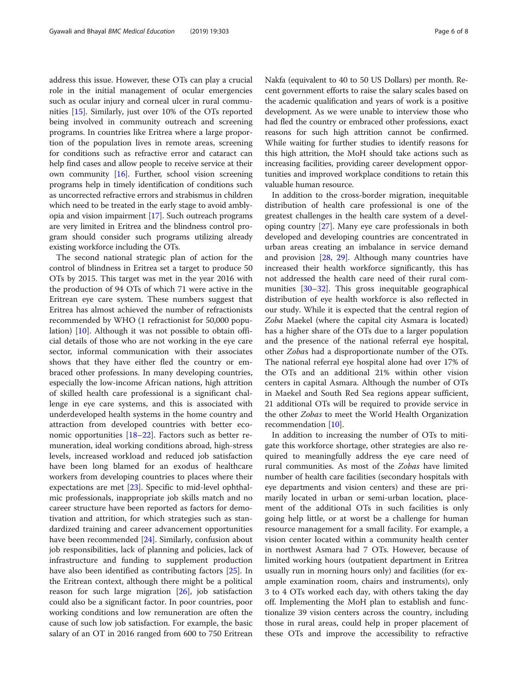address this issue. However, these OTs can play a crucial role in the initial management of ocular emergencies such as ocular injury and corneal ulcer in rural communities [\[15](#page-7-0)]. Similarly, just over 10% of the OTs reported being involved in community outreach and screening programs. In countries like Eritrea where a large proportion of the population lives in remote areas, screening for conditions such as refractive error and cataract can help find cases and allow people to receive service at their own community [\[16\]](#page-7-0). Further, school vision screening programs help in timely identification of conditions such as uncorrected refractive errors and strabismus in children which need to be treated in the early stage to avoid amblyopia and vision impairment [[17](#page-7-0)]. Such outreach programs are very limited in Eritrea and the blindness control program should consider such programs utilizing already existing workforce including the OTs.

The second national strategic plan of action for the control of blindness in Eritrea set a target to produce 50 OTs by 2015. This target was met in the year 2016 with the production of 94 OTs of which 71 were active in the Eritrean eye care system. These numbers suggest that Eritrea has almost achieved the number of refractionists recommended by WHO (1 refractionist for 50,000 population) [[10\]](#page-7-0). Although it was not possible to obtain official details of those who are not working in the eye care sector, informal communication with their associates shows that they have either fled the country or embraced other professions. In many developing countries, especially the low-income African nations, high attrition of skilled health care professional is a significant challenge in eye care systems, and this is associated with underdeveloped health systems in the home country and attraction from developed countries with better economic opportunities [\[18](#page-7-0)–[22\]](#page-7-0). Factors such as better remuneration, ideal working conditions abroad, high-stress levels, increased workload and reduced job satisfaction have been long blamed for an exodus of healthcare workers from developing countries to places where their expectations are met [\[23](#page-7-0)]. Specific to mid-level ophthalmic professionals, inappropriate job skills match and no career structure have been reported as factors for demotivation and attrition, for which strategies such as standardized training and career advancement opportunities have been recommended [\[24](#page-7-0)]. Similarly, confusion about job responsibilities, lack of planning and policies, lack of infrastructure and funding to supplement production have also been identified as contributing factors [\[25\]](#page-7-0). In the Eritrean context, although there might be a political reason for such large migration [[26](#page-7-0)], job satisfaction could also be a significant factor. In poor countries, poor working conditions and low remuneration are often the cause of such low job satisfaction. For example, the basic salary of an OT in 2016 ranged from 600 to 750 Eritrean Nakfa (equivalent to 40 to 50 US Dollars) per month. Recent government efforts to raise the salary scales based on the academic qualification and years of work is a positive development. As we were unable to interview those who had fled the country or embraced other professions, exact reasons for such high attrition cannot be confirmed. While waiting for further studies to identify reasons for this high attrition, the MoH should take actions such as increasing facilities, providing career development opportunities and improved workplace conditions to retain this valuable human resource.

In addition to the cross-border migration, inequitable distribution of health care professional is one of the greatest challenges in the health care system of a developing country [\[27](#page-7-0)]. Many eye care professionals in both developed and developing countries are concentrated in urban areas creating an imbalance in service demand and provision [\[28](#page-7-0), [29\]](#page-7-0). Although many countries have increased their health workforce significantly, this has not addressed the health care need of their rural communities [[30](#page-7-0)–[32\]](#page-7-0). This gross inequitable geographical distribution of eye health workforce is also reflected in our study. While it is expected that the central region of Zoba Maekel (where the capital city Asmara is located) has a higher share of the OTs due to a larger population and the presence of the national referral eye hospital, other Zobas had a disproportionate number of the OTs. The national referral eye hospital alone had over 17% of the OTs and an additional 21% within other vision centers in capital Asmara. Although the number of OTs in Maekel and South Red Sea regions appear sufficient, 21 additional OTs will be required to provide service in the other Zobas to meet the World Health Organization recommendation [[10](#page-7-0)].

In addition to increasing the number of OTs to mitigate this workforce shortage, other strategies are also required to meaningfully address the eye care need of rural communities. As most of the Zobas have limited number of health care facilities (secondary hospitals with eye departments and vision centers) and these are primarily located in urban or semi-urban location, placement of the additional OTs in such facilities is only going help little, or at worst be a challenge for human resource management for a small facility. For example, a vision center located within a community health center in northwest Asmara had 7 OTs. However, because of limited working hours (outpatient department in Eritrea usually run in morning hours only) and facilities (for example examination room, chairs and instruments), only 3 to 4 OTs worked each day, with others taking the day off. Implementing the MoH plan to establish and functionalize 39 vision centers across the country, including those in rural areas, could help in proper placement of these OTs and improve the accessibility to refractive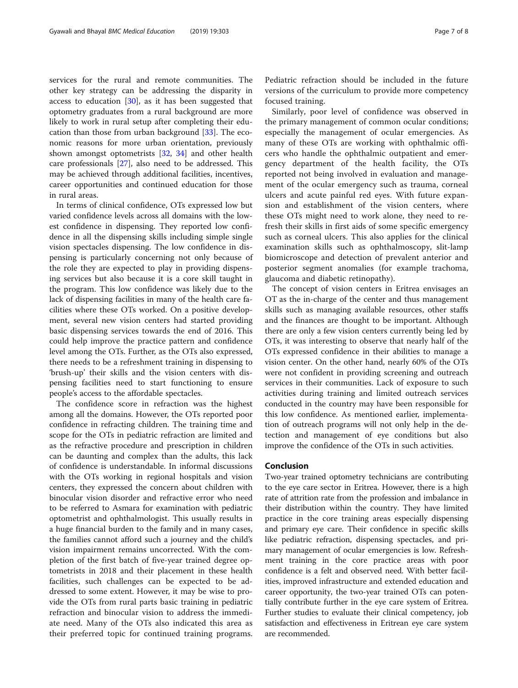services for the rural and remote communities. The other key strategy can be addressing the disparity in access to education [\[30](#page-7-0)], as it has been suggested that optometry graduates from a rural background are more likely to work in rural setup after completing their education than those from urban background  $[33]$  $[33]$  $[33]$ . The economic reasons for more urban orientation, previously shown amongst optometrists [[32,](#page-7-0) [34](#page-7-0)] and other health care professionals [[27](#page-7-0)], also need to be addressed. This may be achieved through additional facilities, incentives, career opportunities and continued education for those in rural areas.

In terms of clinical confidence, OTs expressed low but varied confidence levels across all domains with the lowest confidence in dispensing. They reported low confidence in all the dispensing skills including simple single vision spectacles dispensing. The low confidence in dispensing is particularly concerning not only because of the role they are expected to play in providing dispensing services but also because it is a core skill taught in the program. This low confidence was likely due to the lack of dispensing facilities in many of the health care facilities where these OTs worked. On a positive development, several new vision centers had started providing basic dispensing services towards the end of 2016. This could help improve the practice pattern and confidence level among the OTs. Further, as the OTs also expressed, there needs to be a refreshment training in dispensing to 'brush-up' their skills and the vision centers with dispensing facilities need to start functioning to ensure people's access to the affordable spectacles.

The confidence score in refraction was the highest among all the domains. However, the OTs reported poor confidence in refracting children. The training time and scope for the OTs in pediatric refraction are limited and as the refractive procedure and prescription in children can be daunting and complex than the adults, this lack of confidence is understandable. In informal discussions with the OTs working in regional hospitals and vision centers, they expressed the concern about children with binocular vision disorder and refractive error who need to be referred to Asmara for examination with pediatric optometrist and ophthalmologist. This usually results in a huge financial burden to the family and in many cases, the families cannot afford such a journey and the child's vision impairment remains uncorrected. With the completion of the first batch of five-year trained degree optometrists in 2018 and their placement in these health facilities, such challenges can be expected to be addressed to some extent. However, it may be wise to provide the OTs from rural parts basic training in pediatric refraction and binocular vision to address the immediate need. Many of the OTs also indicated this area as their preferred topic for continued training programs.

Pediatric refraction should be included in the future versions of the curriculum to provide more competency focused training.

Similarly, poor level of confidence was observed in the primary management of common ocular conditions; especially the management of ocular emergencies. As many of these OTs are working with ophthalmic officers who handle the ophthalmic outpatient and emergency department of the health facility, the OTs reported not being involved in evaluation and management of the ocular emergency such as trauma, corneal ulcers and acute painful red eyes. With future expansion and establishment of the vision centers, where these OTs might need to work alone, they need to refresh their skills in first aids of some specific emergency such as corneal ulcers. This also applies for the clinical examination skills such as ophthalmoscopy, slit-lamp biomicroscope and detection of prevalent anterior and posterior segment anomalies (for example trachoma, glaucoma and diabetic retinopathy).

The concept of vision centers in Eritrea envisages an OT as the in-charge of the center and thus management skills such as managing available resources, other staffs and the finances are thought to be important. Although there are only a few vision centers currently being led by OTs, it was interesting to observe that nearly half of the OTs expressed confidence in their abilities to manage a vision center. On the other hand, nearly 60% of the OTs were not confident in providing screening and outreach services in their communities. Lack of exposure to such activities during training and limited outreach services conducted in the country may have been responsible for this low confidence. As mentioned earlier, implementation of outreach programs will not only help in the detection and management of eye conditions but also improve the confidence of the OTs in such activities.

#### Conclusion

Two-year trained optometry technicians are contributing to the eye care sector in Eritrea. However, there is a high rate of attrition rate from the profession and imbalance in their distribution within the country. They have limited practice in the core training areas especially dispensing and primary eye care. Their confidence in specific skills like pediatric refraction, dispensing spectacles, and primary management of ocular emergencies is low. Refreshment training in the core practice areas with poor confidence is a felt and observed need. With better facilities, improved infrastructure and extended education and career opportunity, the two-year trained OTs can potentially contribute further in the eye care system of Eritrea. Further studies to evaluate their clinical competency, job satisfaction and effectiveness in Eritrean eye care system are recommended.